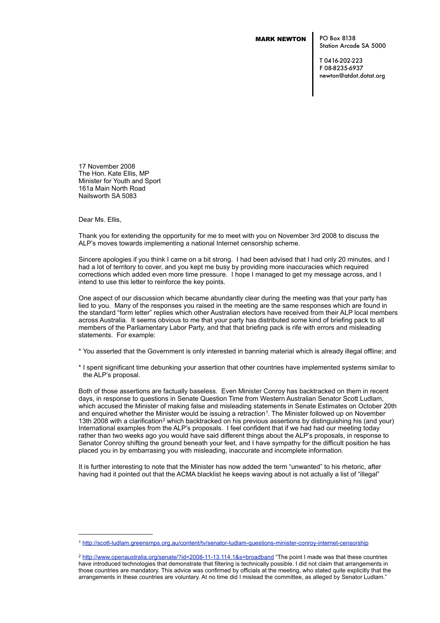# MARK NEWTON

PO Box 8138 Station Arcade SA 5000

T 0416-202-223 F 08-8235-6937 newton@atdot.dotat.org

17 November 2008 The Hon. Kate Ellis, MP Minister for Youth and Sport 161a Main North Road Nailsworth SA 5083

Dear Ms. Ellis,

Thank you for extending the opportunity for me to meet with you on November 3rd 2008 to discuss the ALP's moves towards implementing a national Internet censorship scheme.

Sincere apologies if you think I came on a bit strong. I had been advised that I had only 20 minutes, and I had a lot of territory to cover, and you kept me busy by providing more inaccuracies which required corrections which added even more time pressure. I hope I managed to get my message across, and I intend to use this letter to reinforce the key points.

One aspect of our discussion which became abundantly clear during the meeting was that your party has lied to you. Many of the responses you raised in the meeting are the same responses which are found in the standard "form letter" replies which other Australian electors have received from their ALP local members across Australia. It seems obvious to me that your party has distributed some kind of briefing pack to all members of the Parliamentary Labor Party, and that that briefing pack is rife with errors and misleading statements. For example:

- \* You asserted that the Government is only interested in banning material which is already illegal offline; and
- \* I spent significant time debunking your assertion that other countries have implemented systems similar to the ALP's proposal.

Both of those assertions are factually baseless. Even Minister Conroy has backtracked on them in recent days, in response to questions in Senate Question Time from Western Australian Senator Scott Ludlam, which accused the Minister of making false and misleading statements in Senate Estimates on October 20th and enquired whether the Minister would be issuing a retraction<sup>[1](#page-0-0)</sup>. The Minister followed up on November 13th [2](#page-0-1)008 with a clarification<sup>2</sup> which backtracked on his previous assertions by distinguishing his (and your) International examples from the ALP's proposals. I feel confident that if we had had our meeting today rather than two weeks ago you would have said different things about the ALP's proposals, in response to Senator Conroy shifting the ground beneath your feet, and I have sympathy for the difficult position he has placed you in by embarrasing you with misleading, inaccurate and incomplete information.

It is further interesting to note that the Minister has now added the term "unwanted" to his rhetoric, after having had it pointed out that the ACMA blacklist he keeps waving about is not actually a list of "illegal"

<span id="page-0-0"></span><sup>1</sup> <http://scott-ludlam.greensmps.org.au/content/tv/senator-ludlam-questions-minister-conroy-internet-censorship>

<span id="page-0-1"></span><sup>2</sup> <http://www.openaustralia.org/senate/?id=2008-11-13.114.1&s=broadband> "The point I made was that these countries have introduced technologies that demonstrate that filtering is technically possible. I did not claim that arrangements in those countries are mandatory. This advice was confirmed by officials at the meeting, who stated quite explicitly that the arrangements in these countries are voluntary. At no time did I mislead the committee, as alleged by Senator Ludlam."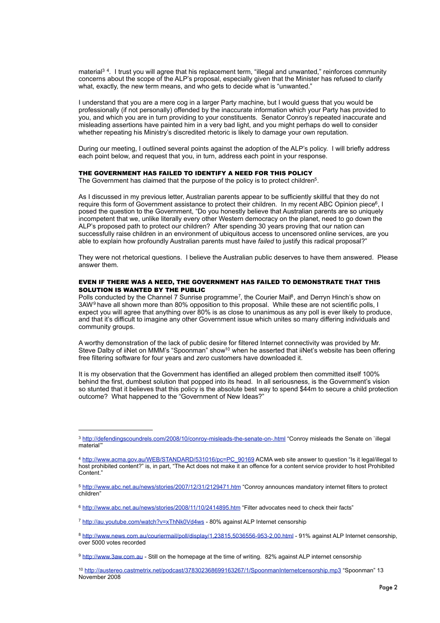material<sup>3[4](#page-1-1)</sup>. I trust you will agree that his replacement term, "illegal and unwanted," reinforces community concerns about the scope of the ALP's proposal, especially given that the Minister has refused to clarify what, exactly, the new term means, and who gets to decide what is "unwanted."

I understand that you are a mere cog in a larger Party machine, but I would guess that you would be professionally (if not personally) offended by the inaccurate information which your Party has provided to you, and which you are in turn providing to your constituents. Senator Conroy's repeated inaccurate and misleading assertions have painted him in a very bad light, and you might perhaps do well to consider whether repeating his Ministry's discredited rhetoric is likely to damage your own reputation.

During our meeting, I outlined several points against the adoption of the ALP's policy. I will briefly address each point below, and request that you, in turn, address each point in your response.

### THE GOVERNMENT HAS FAILED TO IDENTIFY A NEED FOR THIS POLICY

The Government has claimed that the purpose of the policy is to protect children<sup>5</sup>.

As I discussed in my previous letter, Australian parents appear to be sufficiently skillful that they do not require this form of Government assistance to protect their children. In my recent ABC Opinion piece<sup>6</sup>, I posed the question to the Government, "Do you honestly believe that Australian parents are so uniquely incompetent that we, unlike literally every other Western democracy on the planet, need to go down the ALP's proposed path to protect our children? After spending 30 years proving that our nation can successfully raise children in an environment of ubiquitous access to uncensored online services, are you able to explain how profoundly Australian parents must have *failed* to justify this radical proposal?"

They were not rhetorical questions. I believe the Australian public deserves to have them answered. Please answer them.

## EVEN IF THERE WAS A NEED, THE GOVERNMENT HAS FAILED TO DEMONSTRATE THAT THIS SOLUTION IS WANTED BY THE PUBLIC

Polls conducted by the Channel [7](#page-1-4) Sunrise programme<sup>7</sup>, the Courier Mail<sup>8</sup>, and Derryn Hinch's show on 3AW<sup>[9](#page-1-6)</sup> have all shown more than 80% opposition to this proposal. While these are not scientific polls, I expect you will agree that anything over 80% is as close to unanimous as any poll is ever likely to produce, and that it's difficult to imagine any other Government issue which unites so many differing individuals and community groups.

A worthy demonstration of the lack of public desire for filtered Internet connectivity was provided by Mr. Steve Dalby of iiNet on MMM's "Spoonman" show<sup>10</sup> when he asserted that iiNet's website has been offering free filtering software for four years and *zero* customers have downloaded it.

It is my observation that the Government has identified an alleged problem then committed itself 100% behind the first, dumbest solution that popped into its head. In all seriousness, is the Government's vision so stunted that it believes that this policy is the absolute best way to spend \$44m to secure a child protection outcome? What happened to the "Government of New Ideas?"

<span id="page-1-0"></span><sup>3</sup> <http://defendingscoundrels.com/2008/10/conroy-misleads-the-senate-on-.html> "Conroy misleads the Senate on `illegal material'"

<span id="page-1-1"></span><sup>4</sup> [http://www.acma.gov.au/WEB/STANDARD/531016/pc=PC\\_90169](http://www.acma.gov.au/WEB/STANDARD/531016/pc=PC_90169) ACMA web site answer to question "Is it legal/illegal to host prohibited content?" is, in part, "The Act does not make it an offence for a content service provider to host Prohibited Content<sup>"</sup>

<span id="page-1-2"></span><sup>5</sup> <http://www.abc.net.au/news/stories/2007/12/31/2129471.htm>"Conroy announces mandatory internet filters to protect children"

<span id="page-1-3"></span><sup>6</sup> <http://www.abc.net.au/news/stories/2008/11/10/2414895.htm> "Filter advocates need to check their facts"

<span id="page-1-4"></span><sup>7</sup> <http://au.youtube.com/watch?v=xThNk0Vd4ws> - 80% against ALP Internet censorship

<span id="page-1-5"></span><sup>8</sup> <http://www.news.com.au/couriermail/poll/display/1,23815,5036556-953-2,00.html>- 91% against ALP Internet censorship, over 5000 votes recorded

<span id="page-1-6"></span><sup>9</sup> [http://www.3aw.com.au](http://www.3aw.com.au/) - Still on the homepage at the time of writing. 82% against ALP internet censorship

<span id="page-1-7"></span><sup>10</sup> <http://austereo.castmetrix.net/podcast/378302368699163267/1/SpoonmanInternetcensorship.mp3> "Spoonman" 13 November 2008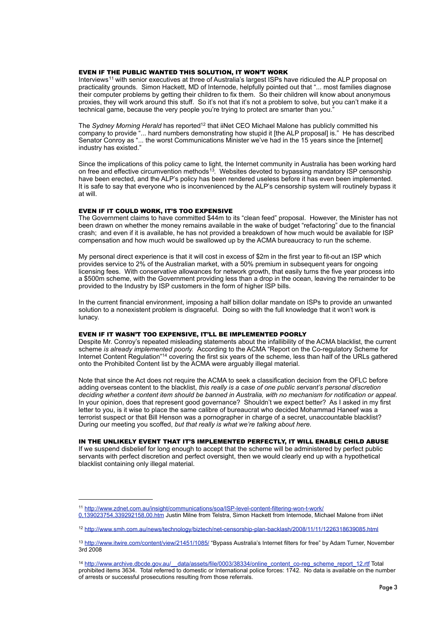#### EVEN IF THE PUBLIC WANTED THIS SOLUTION, IT WON'T WORK

Interviews[11](#page-2-0) with senior executives at three of Australia's largest ISPs have ridiculed the ALP proposal on practicality grounds. Simon Hackett, MD of Internode, helpfully pointed out that "... most families diagnose their computer problems by getting their children to fix them. So their children will know about anonymous proxies, they will work around this stuff. So it's not that it's not a problem to solve, but you can't make it a technical game, because the very people you're trying to protect are smarter than you.<sup>7</sup>

The *Sydney Morning Herald* has reported<sup>12</sup> that iiNet CEO Michael Malone has publicly committed his company to provide "... hard numbers demonstrating how stupid it [the ALP proposal] is." He has described Senator Conroy as "... the worst Communications Minister we've had in the 15 years since the [internet] industry has existed."

Since the implications of this policy came to light, the Internet community in Australia has been working hard on free and effective circumvention methods<sup>[13](#page-2-2)</sup>. Websites devoted to bypassing mandatory ISP censorship have been erected, and the ALP's policy has been rendered useless before it has even been implemented. It is safe to say that everyone who is inconvenienced by the ALP's censorship system will routinely bypass it at will.

## EVEN IF IT COULD WORK, IT'S TOO EXPENSIVE

The Government claims to have committed \$44m to its "clean feed" proposal. However, the Minister has not been drawn on whether the money remains available in the wake of budget "refactoring" due to the financial crash; and even if it is available, he has not provided a breakdown of how much would be available for ISP compensation and how much would be swallowed up by the ACMA bureaucracy to run the scheme.

My personal direct experience is that it will cost in excess of \$2m in the first year to fit-out an ISP which provides service to 2% of the Australian market, with a 50% premium in subsequent years for ongoing licensing fees. With conservative allowances for network growth, that easily turns the five year process into a \$500m scheme, with the Government providing less than a drop in the ocean, leaving the remainder to be provided to the Industry by ISP customers in the form of higher ISP bills.

In the current financial environment, imposing a half billion dollar mandate on ISPs to provide an unwanted solution to a nonexistent problem is disgraceful. Doing so with the full knowledge that it won't work is lunacy.

#### EVEN IF IT WASN'T TOO EXPENSIVE, IT'LL BE IMPLEMENTED POORLY

Despite Mr. Conroy's repeated misleading statements about the infallibility of the ACMA blacklist, the current scheme *is already implemented poorly.* According to the ACMA "Report on the Co-regulatory Scheme for Internet Content Regulation<sup>["14](#page-2-3)</sup> covering the first six years of the scheme, less than half of the URLs gathered onto the Prohibited Content list by the ACMA were arguably illegal material.

Note that since the Act does not require the ACMA to seek a classification decision from the OFLC before adding overseas content to the blacklist, *this really is a case of one public servant's personal discretion deciding whether a content item should be banned in Australia, with no mechanism for notification or appeal.* In your opinion, does that represent good governance? Shouldn't we expect better? As I asked in my first letter to you, is it wise to place the same calibre of bureaucrat who decided Mohammad Haneef was a terrorist suspect or that Bill Henson was a pornographer in charge of a secret, unaccountable blacklist? During our meeting you scoffed, *but that really is what we're talking about here.*

# IN THE UNLIKELY EVENT THAT IT'S IMPLEMENTED PERFECTLY, IT WILL ENABLE CHILD ABUSE

If we suspend disbelief for long enough to accept that the scheme will be administered by perfect public servants with perfect discretion and perfect oversight, then we would clearly end up with a hypothetical blacklist containing only illegal material.

<span id="page-2-0"></span><sup>11</sup> [http://www.zdnet.com.au/insight/communications/soa/ISP-level-content-filtering-won-t-work/](http://www.zdnet.com.au/insight/communications/soa/ISP-level-content-filtering-won-t-work/0,139023754,339292158,00.htm)

[<sup>0,139023754,339292158,00.</sup>htm](http://www.zdnet.com.au/insight/communications/soa/ISP-level-content-filtering-won-t-work/0,139023754,339292158,00.htm) Justin Milne from Telstra, Simon Hackett from Internode, Michael Malone from iiNet

<span id="page-2-1"></span><sup>12</sup> <http://www.smh.com.au/news/technology/biztech/net-censorship-plan-backlash/2008/11/11/1226318639085.html>

<span id="page-2-2"></span><sup>13</sup> <http://www.itwire.com/content/view/21451/1085/>"Bypass Australia's Internet filters for free" by Adam Turner, November 3rd 2008

<span id="page-2-3"></span><sup>14</sup> [http://www.archive.dbcde.gov.au/\\_\\_data/assets/file/0003/38334/online\\_content\\_co-reg\\_scheme\\_report\\_12.rtf](http://www.archive.dbcde.gov.au/__data/assets/file/0003/38334/online_content_co-reg_scheme_report_12.rtf) Total prohibited items 3634. Total referred to domestic or International police forces: 1742. No data is available on the number of arrests or successful prosecutions resulting from those referrals.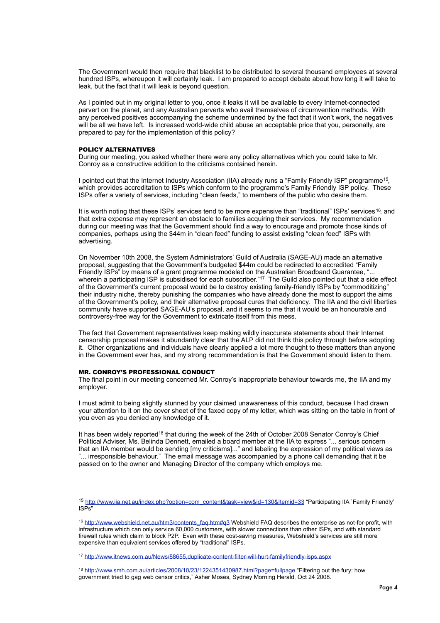The Government would then require that blacklist to be distributed to several thousand employees at several hundred ISPs, whereupon it will certainly leak. I am prepared to accept debate about how long it will take to leak, but the fact that it will leak is beyond question.

As I pointed out in my original letter to you, once it leaks it will be available to every Internet-connected pervert on the planet, and any Australian perverts who avail themselves of circumvention methods. With any perceived positives accompanying the scheme undermined by the fact that it won't work, the negatives will be all we have left. Is increased world-wide child abuse an acceptable price that you, personally, are prepared to pay for the implementation of this policy?

#### POLICY ALTERNATIVES

During our meeting, you asked whether there were any policy alternatives which you could take to Mr. Conroy as a constructive addition to the criticisms contained herein.

I pointed out that the Internet Industry Association (IIA) already runs a "Family Friendly ISP" programme<sup>15</sup>. which provides accreditation to ISPs which conform to the programme's Family Friendly ISP policy. These ISPs offer a variety of services, including "clean feeds," to members of the public who desire them.

It is worth noting that these ISPs' services tend to be more expensive than "traditional" ISPs' services <sup>16</sup>, and that extra expense may represent an obstacle to families acquiring their services. My recommendation during our meeting was that the Government should find a way to encourage and promote those kinds of companies, perhaps using the \$44m in "clean feed" funding to assist existing "clean feed" ISPs with advertising.

On November 10th 2008, the System Administrators' Guild of Australia (SAGE-AU) made an alternative proposal, suggesting that the Government's budgeted \$44m could be redirected to accredited "Family Friendly ISPs" by means of a grant programme modeled on the Australian Broadband Guarantee, "... wherein a participating ISP is subsidised for each subscriber."<sup>17</sup> The Guild also pointed out that a side effect of the Government's current proposal would be to destroy existing family-friendly ISPs by "commoditizing" their industry niche, thereby punishing the companies who have already done the most to support the aims of the Government's policy, and their alternative proposal cures that deficiency. The IIA and the civil liberties community have supported SAGE-AU's proposal, and it seems to me that it would be an honourable and controversy-free way for the Government to extricate itself from this mess.

The fact that Government representatives keep making wildly inaccurate statements about their Internet censorship proposal makes it abundantly clear that the ALP did not think this policy through before adopting it. Other organizations and individuals have clearly applied a lot more thought to these matters than anyone in the Government ever has, and my strong recommendation is that the Government should listen to them.

## MR. CONROY'S PROFESSIONAL CONDUCT

The final point in our meeting concerned Mr. Conroy's inappropriate behaviour towards me, the IIA and my employer.

I must admit to being slightly stunned by your claimed unawareness of this conduct, because I had drawn your attention to it on the cover sheet of the faxed copy of my letter, which was sitting on the table in front of you even as you denied any knowledge of it.

It has been widely reported<sup>18</sup> that during the week of the 24th of October 2008 Senator Conroy's Chief Political Adviser, Ms. Belinda Dennett, emailed a board member at the IIA to express "... serious concern that an IIA member would be sending [my criticisms]..." and labeling the expression of my political views as "... irresponsible behaviour." The email message was accompanied by a phone call demanding that it be passed on to the owner and Managing Director of the company which employs me.

<span id="page-3-0"></span><sup>15</sup> [http://www.iia.net.au/index.php?option=com\\_content&task=view&id=130&Itemid=33](http://www.iia.net.au/index.php?option=com_content&task=view&id=130&Itemid=33) "Participating IIA `Family Friendly' ISPs"

<span id="page-3-1"></span><sup>16</sup> [http://www.webshield.net.au/htm3/contents\\_faq.htm#q3](http://www.webshield.net.au/htm3/contents_faq.htm%23q3) Webshield FAQ describes the enterprise as not-for-profit, with infrastructure which can only service 60,000 customers, with slower connections than other ISPs, and with standard firewall rules which claim to block P2P. Even with these cost-saving measures, Webshield's services are still more expensive than equivalent services offered by "traditional" ISPs.

<span id="page-3-2"></span><sup>17</sup> <http://www.itnews.com.au/News/88655,duplicate-content-filter-will-hurt-familyfriendly-isps.aspx>

<span id="page-3-3"></span><sup>18</sup> <http://www.smh.com.au/articles/2008/10/23/1224351430987.html?page=fullpage> "Filtering out the fury: how government tried to gag web censor critics," Asher Moses, Sydney Morning Herald, Oct 24 2008.